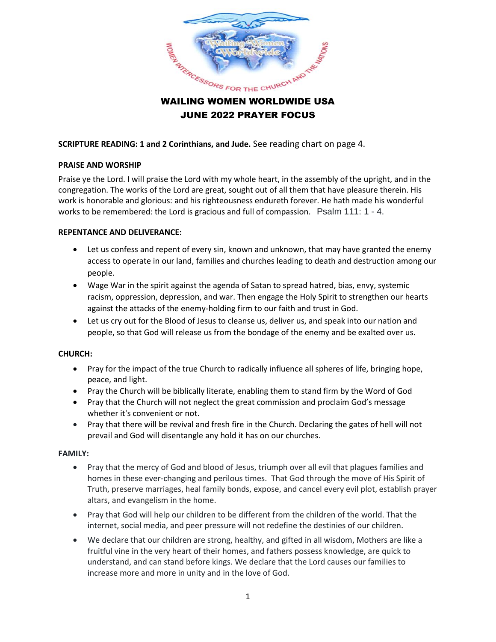

# JUNE 2022 PRAYER FOCUS

**SCRIPTURE READING: 1 and 2 Corinthians, and Jude.** See reading chart on page 4.

## **PRAISE AND WORSHIP**

Praise ye the Lord. I will praise the Lord with my whole heart, in the assembly of the upright, and in the congregation. The works of the Lord are great, sought out of all them that have pleasure therein. His work is honorable and glorious: and his righteousness endureth forever. He hath made his wonderful works to be remembered: the Lord is gracious and full of compassion. Psalm 111: 1 - 4.

## **REPENTANCE AND DELIVERANCE:**

- Let us confess and repent of every sin, known and unknown, that may have granted the enemy access to operate in our land, families and churches leading to death and destruction among our people.
- Wage War in the spirit against the agenda of Satan to spread hatred, bias, envy, systemic racism, oppression, depression, and war. Then engage the Holy Spirit to strengthen our hearts against the attacks of the enemy-holding firm to our faith and trust in God.
- Let us cry out for the Blood of Jesus to cleanse us, deliver us, and speak into our nation and people, so that God will release us from the bondage of the enemy and be exalted over us.

# **CHURCH:**

- Pray for the impact of the true Church to radically influence all spheres of life, bringing hope, peace, and light.
- Pray the Church will be biblically literate, enabling them to stand firm by the Word of God
- Pray that the Church will not neglect the great commission and proclaim God's message whether it's convenient or not.
- Pray that there will be revival and fresh fire in the Church. Declaring the gates of hell will not prevail and God will disentangle any hold it has on our churches.

## **FAMILY:**

- Pray that the mercy of God and blood of Jesus, triumph over all evil that plagues families and homes in these ever-changing and perilous times. That God through the move of His Spirit of Truth, preserve marriages, heal family bonds, expose, and cancel every evil plot, establish prayer altars, and evangelism in the home.
- Pray that God will help our children to be different from the children of the world. That the internet, social media, and peer pressure will not redefine the destinies of our children.
- We declare that our children are strong, healthy, and gifted in all wisdom, Mothers are like a fruitful vine in the very heart of their homes, and fathers possess knowledge, are quick to understand, and can stand before kings. We declare that the Lord causes our families to increase more and more in unity and in the love of God.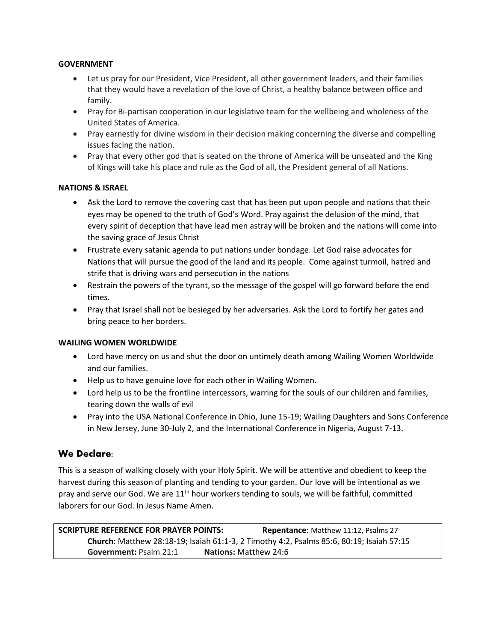## **GOVERNMENT**

- Let us pray for our President, Vice President, all other government leaders, and their families that they would have a revelation of the love of Christ, a healthy balance between office and family.
- Pray for Bi-partisan cooperation in our legislative team for the wellbeing and wholeness of the United States of America.
- Pray earnestly for divine wisdom in their decision making concerning the diverse and compelling issues facing the nation.
- Pray that every other god that is seated on the throne of America will be unseated and the King of Kings will take his place and rule as the God of all, the President general of all Nations.

# **NATIONS & ISRAEL**

- Ask the Lord to remove the covering cast that has been put upon people and nations that their eyes may be opened to the truth of God's Word. Pray against the delusion of the mind, that every spirit of deception that have lead men astray will be broken and the nations will come into the saving grace of Jesus Christ
- Frustrate every satanic agenda to put nations under bondage. Let God raise advocates for Nations that will pursue the good of the land and its people. Come against turmoil, hatred and strife that is driving wars and persecution in the nations
- Restrain the powers of the tyrant, so the message of the gospel will go forward before the end times.
- Pray that Israel shall not be besieged by her adversaries. Ask the Lord to fortify her gates and bring peace to her borders.

## **WAILING WOMEN WORLDWIDE**

- Lord have mercy on us and shut the door on untimely death among Wailing Women Worldwide and our families.
- Help us to have genuine love for each other in Wailing Women.
- Lord help us to be the frontline intercessors, warring for the souls of our children and families, tearing down the walls of evil
- Pray into the USA National Conference in Ohio, June 15-19; Wailing Daughters and Sons Conference in New Jersey, June 30-July 2, and the International Conference in Nigeria, August 7-13.

# We Declare:

This is a season of walking closely with your Holy Spirit. We will be attentive and obedient to keep the harvest during this season of planting and tending to your garden. Our love will be intentional as we pray and serve our God. We are 11<sup>th</sup> hour workers tending to souls, we will be faithful, committed laborers for our God. In Jesus Name Amen.

**SCRIPTURE REFERENCE FOR PRAYER POINTS: Repentance**: Matthew 11:12, Psalms 27 **Church**: Matthew 28:18-19; Isaiah 61:1-3, 2 Timothy 4:2, Psalms 85:6, 80:19; Isaiah 57:15 **Government:** Psalm 21:1 **Nations:** Matthew 24:6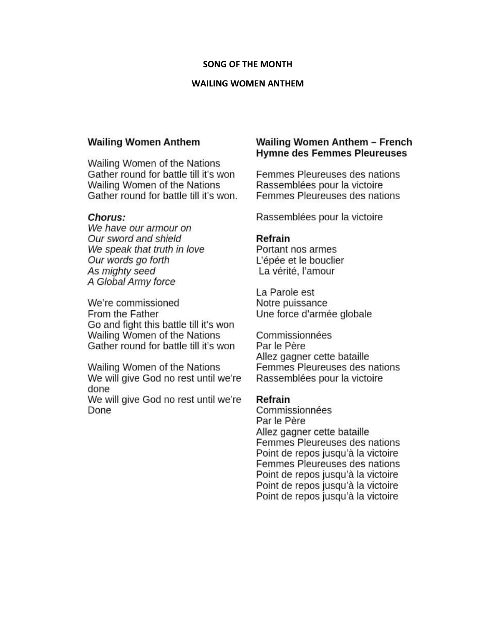#### **SONG OF THE MONTH**

#### **WAILING WOMEN ANTHEM**

## **Wailing Women Anthem**

Wailing Women of the Nations Gather round for battle till it's won Wailing Women of the Nations Gather round for battle till it's won.

## Chorus:

We have our armour on Our sword and shield We speak that truth in love Our words go forth As mighty seed A Global Army force

We're commissioned From the Father Go and fight this battle till it's won Wailing Women of the Nations Gather round for battle till it's won

Wailing Women of the Nations We will give God no rest until we're done

We will give God no rest until we're Done

# Wailing Women Anthem - French **Hymne des Femmes Pleureuses**

Femmes Pleureuses des nations Rassemblées pour la victoire Femmes Pleureuses des nations

Rassemblées pour la victoire

## Refrain

Portant nos armes L'épée et le bouclier La vérité, l'amour

La Parole est Notre puissance Une force d'armée globale

Commissionnées Par le Père Allez gagner cette bataille Femmes Pleureuses des nations Rassemblées pour la victoire

#### Refrain

Commissionnées Par le Père Allez gagner cette bataille Femmes Pleureuses des nations Point de repos jusqu'à la victoire Femmes Pleureuses des nations Point de repos jusqu'à la victoire Point de repos jusqu'à la victoire Point de repos jusqu'à la victoire